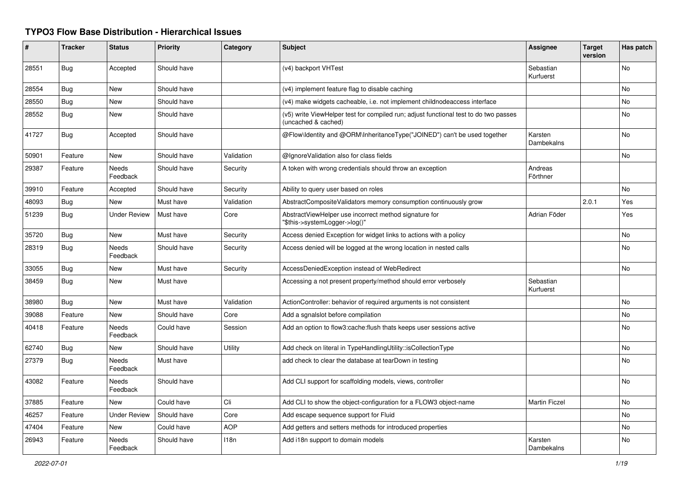## **TYPO3 Flow Base Distribution - Hierarchical Issues**

| ∦     | <b>Tracker</b> | <b>Status</b>            | <b>Priority</b> | Category   | <b>Subject</b>                                                                                              | <b>Assignee</b>        | <b>Target</b><br>version | Has patch      |
|-------|----------------|--------------------------|-----------------|------------|-------------------------------------------------------------------------------------------------------------|------------------------|--------------------------|----------------|
| 28551 | <b>Bug</b>     | Accepted                 | Should have     |            | (v4) backport VHTest                                                                                        | Sebastian<br>Kurfuerst |                          | No             |
| 28554 | <b>Bug</b>     | New                      | Should have     |            | (v4) implement feature flag to disable caching                                                              |                        |                          | No             |
| 28550 | Bug            | New                      | Should have     |            | (v4) make widgets cacheable, i.e. not implement childnodeaccess interface                                   |                        |                          | No             |
| 28552 | Bug            | New                      | Should have     |            | (v5) write ViewHelper test for compiled run; adjust functional test to do two passes<br>(uncached & cached) |                        |                          | No             |
| 41727 | <b>Bug</b>     | Accepted                 | Should have     |            | @Flow\Identity and @ORM\InheritanceType("JOINED") can't be used together                                    | Karsten<br>Dambekalns  |                          | <b>No</b>      |
| 50901 | Feature        | New                      | Should have     | Validation | @IgnoreValidation also for class fields                                                                     |                        |                          | No             |
| 29387 | Feature        | Needs<br>Feedback        | Should have     | Security   | A token with wrong credentials should throw an exception                                                    | Andreas<br>Förthner    |                          |                |
| 39910 | Feature        | Accepted                 | Should have     | Security   | Ability to query user based on roles                                                                        |                        |                          | No             |
| 48093 | <b>Bug</b>     | New                      | Must have       | Validation | AbstractCompositeValidators memory consumption continuously grow                                            |                        | 2.0.1                    | Yes            |
| 51239 | Bug            | <b>Under Review</b>      | Must have       | Core       | AbstractViewHelper use incorrect method signature for<br>"\$this->systemLogger->log()"                      | Adrian Föder           |                          | Yes            |
| 35720 | Bug            | New                      | Must have       | Security   | Access denied Exception for widget links to actions with a policy                                           |                        |                          | No             |
| 28319 | <b>Bug</b>     | <b>Needs</b><br>Feedback | Should have     | Security   | Access denied will be logged at the wrong location in nested calls                                          |                        |                          | <b>No</b>      |
| 33055 | <b>Bug</b>     | New                      | Must have       | Security   | AccessDeniedException instead of WebRedirect                                                                |                        |                          | No             |
| 38459 | <b>Bug</b>     | <b>New</b>               | Must have       |            | Accessing a not present property/method should error verbosely                                              | Sebastian<br>Kurfuerst |                          |                |
| 38980 | <b>Bug</b>     | New                      | Must have       | Validation | ActionController: behavior of required arguments is not consistent                                          |                        |                          | No             |
| 39088 | Feature        | <b>New</b>               | Should have     | Core       | Add a sgnalslot before compilation                                                                          |                        |                          | N <sub>o</sub> |
| 40418 | Feature        | <b>Needs</b><br>Feedback | Could have      | Session    | Add an option to flow3:cache: flush thats keeps user sessions active                                        |                        |                          | N <sub>o</sub> |
| 62740 | <b>Bug</b>     | <b>New</b>               | Should have     | Utility    | Add check on literal in TypeHandlingUtility::isCollectionType                                               |                        |                          | No             |
| 27379 | <b>Bug</b>     | <b>Needs</b><br>Feedback | Must have       |            | add check to clear the database at tearDown in testing                                                      |                        |                          | N <sub>o</sub> |
| 43082 | Feature        | <b>Needs</b><br>Feedback | Should have     |            | Add CLI support for scaffolding models, views, controller                                                   |                        |                          | No             |
| 37885 | Feature        | <b>New</b>               | Could have      | Cli        | Add CLI to show the object-configuration for a FLOW3 object-name                                            | <b>Martin Ficzel</b>   |                          | N <sub>o</sub> |
| 46257 | Feature        | <b>Under Review</b>      | Should have     | Core       | Add escape sequence support for Fluid                                                                       |                        |                          | N <sub>o</sub> |
| 47404 | Feature        | New                      | Could have      | AOP        | Add getters and setters methods for introduced properties                                                   |                        |                          | No             |
| 26943 | Feature        | Needs<br>Feedback        | Should have     | 118n       | Add i18n support to domain models                                                                           | Karsten<br>Dambekalns  |                          | No             |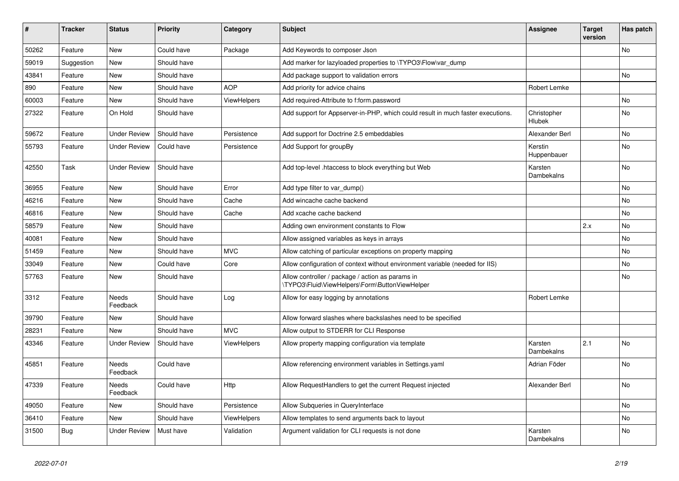| #     | <b>Tracker</b> | <b>Status</b>       | <b>Priority</b> | Category           | <b>Subject</b>                                                                                     | Assignee                     | <b>Target</b><br>version | Has patch      |
|-------|----------------|---------------------|-----------------|--------------------|----------------------------------------------------------------------------------------------------|------------------------------|--------------------------|----------------|
| 50262 | Feature        | <b>New</b>          | Could have      | Package            | Add Keywords to composer Json                                                                      |                              |                          | <b>No</b>      |
| 59019 | Suggestion     | New                 | Should have     |                    | Add marker for lazyloaded properties to \TYPO3\Flow\var_dump                                       |                              |                          |                |
| 43841 | Feature        | New                 | Should have     |                    | Add package support to validation errors                                                           |                              |                          | <b>No</b>      |
| 890   | Feature        | <b>New</b>          | Should have     | <b>AOP</b>         | Add priority for advice chains                                                                     | Robert Lemke                 |                          |                |
| 60003 | Feature        | New                 | Should have     | ViewHelpers        | Add required-Attribute to f:form.password                                                          |                              |                          | N <sub>o</sub> |
| 27322 | Feature        | On Hold             | Should have     |                    | Add support for Appserver-in-PHP, which could result in much faster executions.                    | Christopher<br><b>Hlubek</b> |                          | <b>No</b>      |
| 59672 | Feature        | <b>Under Review</b> | Should have     | Persistence        | Add support for Doctrine 2.5 embeddables                                                           | Alexander Berl               |                          | No             |
| 55793 | Feature        | <b>Under Review</b> | Could have      | Persistence        | Add Support for groupBy                                                                            | Kerstin<br>Huppenbauer       |                          | No             |
| 42550 | Task           | <b>Under Review</b> | Should have     |                    | Add top-level .htaccess to block everything but Web                                                | Karsten<br>Dambekalns        |                          | No             |
| 36955 | Feature        | New                 | Should have     | Error              | Add type filter to var_dump()                                                                      |                              |                          | No             |
| 46216 | Feature        | <b>New</b>          | Should have     | Cache              | Add wincache cache backend                                                                         |                              |                          | <b>No</b>      |
| 46816 | Feature        | <b>New</b>          | Should have     | Cache              | Add xcache cache backend                                                                           |                              |                          | No             |
| 58579 | Feature        | <b>New</b>          | Should have     |                    | Adding own environment constants to Flow                                                           |                              | 2.x                      | No             |
| 40081 | Feature        | <b>New</b>          | Should have     |                    | Allow assigned variables as keys in arrays                                                         |                              |                          | No             |
| 51459 | Feature        | <b>New</b>          | Should have     | <b>MVC</b>         | Allow catching of particular exceptions on property mapping                                        |                              |                          | <b>No</b>      |
| 33049 | Feature        | <b>New</b>          | Could have      | Core               | Allow configuration of context without environment variable (needed for IIS)                       |                              |                          | No             |
| 57763 | Feature        | New                 | Should have     |                    | Allow controller / package / action as params in<br>\TYPO3\Fluid\ViewHelpers\Form\ButtonViewHelper |                              |                          | <b>No</b>      |
| 3312  | Feature        | Needs<br>Feedback   | Should have     | Log                | Allow for easy logging by annotations                                                              | Robert Lemke                 |                          |                |
| 39790 | Feature        | <b>New</b>          | Should have     |                    | Allow forward slashes where backslashes need to be specified                                       |                              |                          |                |
| 28231 | Feature        | <b>New</b>          | Should have     | <b>MVC</b>         | Allow output to STDERR for CLI Response                                                            |                              |                          |                |
| 43346 | Feature        | <b>Under Review</b> | Should have     | <b>ViewHelpers</b> | Allow property mapping configuration via template                                                  | Karsten<br><b>Dambekalns</b> | 2.1                      | <b>No</b>      |
| 45851 | Feature        | Needs<br>Feedback   | Could have      |                    | Allow referencing environment variables in Settings.yaml                                           | Adrian Föder                 |                          | No             |
| 47339 | Feature        | Needs<br>Feedback   | Could have      | Http               | Allow RequestHandlers to get the current Request injected                                          | Alexander Berl               |                          | No             |
| 49050 | Feature        | <b>New</b>          | Should have     | Persistence        | Allow Subqueries in QueryInterface                                                                 |                              |                          | <b>No</b>      |
| 36410 | Feature        | New                 | Should have     | ViewHelpers        | Allow templates to send arguments back to layout                                                   |                              |                          | No             |
| 31500 | Bug            | Under Review        | Must have       | Validation         | Argument validation for CLI requests is not done                                                   | Karsten<br>Dambekalns        |                          | No             |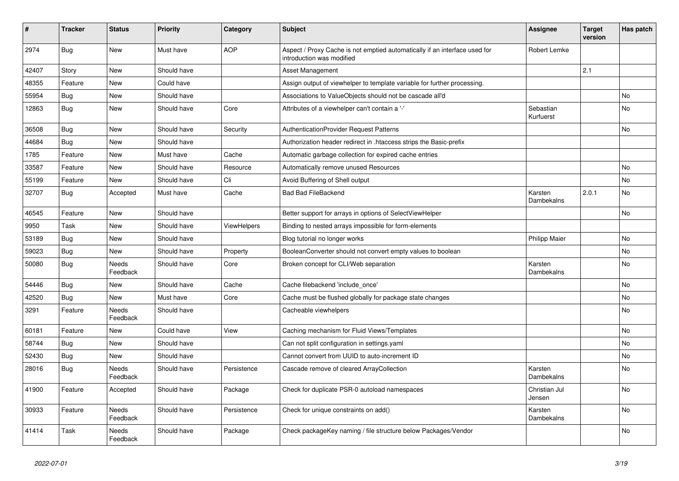| ∦     | <b>Tracker</b> | <b>Status</b>            | <b>Priority</b> | Category           | <b>Subject</b>                                                                                          | <b>Assignee</b>         | <b>Target</b><br>version | Has patch |
|-------|----------------|--------------------------|-----------------|--------------------|---------------------------------------------------------------------------------------------------------|-------------------------|--------------------------|-----------|
| 2974  | <b>Bug</b>     | New                      | Must have       | <b>AOP</b>         | Aspect / Proxy Cache is not emptied automatically if an interface used for<br>introduction was modified | Robert Lemke            |                          |           |
| 42407 | Story          | New                      | Should have     |                    | <b>Asset Management</b>                                                                                 |                         | 2.1                      |           |
| 48355 | Feature        | New                      | Could have      |                    | Assign output of viewhelper to template variable for further processing.                                |                         |                          |           |
| 55954 | Bug            | New                      | Should have     |                    | Associations to ValueObjects should not be cascade all'd                                                |                         |                          | <b>No</b> |
| 12863 | <b>Bug</b>     | <b>New</b>               | Should have     | Core               | Attributes of a viewhelper can't contain a '-'                                                          | Sebastian<br>Kurfuerst  |                          | No.       |
| 36508 | Bug            | New                      | Should have     | Security           | <b>AuthenticationProvider Request Patterns</b>                                                          |                         |                          | <b>No</b> |
| 44684 | <b>Bug</b>     | New                      | Should have     |                    | Authorization header redirect in .htaccess strips the Basic-prefix                                      |                         |                          |           |
| 1785  | Feature        | New                      | Must have       | Cache              | Automatic garbage collection for expired cache entries                                                  |                         |                          |           |
| 33587 | Feature        | New                      | Should have     | Resource           | Automatically remove unused Resources                                                                   |                         |                          | No        |
| 55199 | Feature        | New                      | Should have     | Cli                | Avoid Buffering of Shell output                                                                         |                         |                          | No        |
| 32707 | <b>Bug</b>     | Accepted                 | Must have       | Cache              | <b>Bad Bad FileBackend</b>                                                                              | Karsten<br>Dambekalns   | 2.0.1                    | No        |
| 46545 | Feature        | <b>New</b>               | Should have     |                    | Better support for arrays in options of SelectViewHelper                                                |                         |                          | <b>No</b> |
| 9950  | Task           | New                      | Should have     | <b>ViewHelpers</b> | Binding to nested arrays impossible for form-elements                                                   |                         |                          |           |
| 53189 | <b>Bug</b>     | <b>New</b>               | Should have     |                    | Blog tutorial no longer works                                                                           | <b>Philipp Maier</b>    |                          | No        |
| 59023 | <b>Bug</b>     | <b>New</b>               | Should have     | Property           | BooleanConverter should not convert empty values to boolean                                             |                         |                          | No        |
| 50080 | <b>Bug</b>     | <b>Needs</b><br>Feedback | Should have     | Core               | Broken concept for CLI/Web separation                                                                   | Karsten<br>Dambekalns   |                          | No        |
| 54446 | <b>Bug</b>     | New                      | Should have     | Cache              | Cache filebackend 'include once'                                                                        |                         |                          | No        |
| 42520 | <b>Bug</b>     | New                      | Must have       | Core               | Cache must be flushed globally for package state changes                                                |                         |                          | No        |
| 3291  | Feature        | Needs<br>Feedback        | Should have     |                    | Cacheable viewhelpers                                                                                   |                         |                          | No        |
| 60181 | Feature        | New                      | Could have      | View               | Caching mechanism for Fluid Views/Templates                                                             |                         |                          | No        |
| 58744 | <b>Bug</b>     | New                      | Should have     |                    | Can not split configuration in settings yaml                                                            |                         |                          | No.       |
| 52430 | Bug            | New                      | Should have     |                    | Cannot convert from UUID to auto-increment ID                                                           |                         |                          | No        |
| 28016 | <b>Bug</b>     | Needs<br>Feedback        | Should have     | Persistence        | Cascade remove of cleared ArrayCollection                                                               | Karsten<br>Dambekalns   |                          | No        |
| 41900 | Feature        | Accepted                 | Should have     | Package            | Check for duplicate PSR-0 autoload namespaces                                                           | Christian Jul<br>Jensen |                          | <b>No</b> |
| 30933 | Feature        | Needs<br>Feedback        | Should have     | Persistence        | Check for unique constraints on add()                                                                   | Karsten<br>Dambekalns   |                          | No        |
| 41414 | Task           | Needs<br>Feedback        | Should have     | Package            | Check packageKey naming / file structure below Packages/Vendor                                          |                         |                          | No        |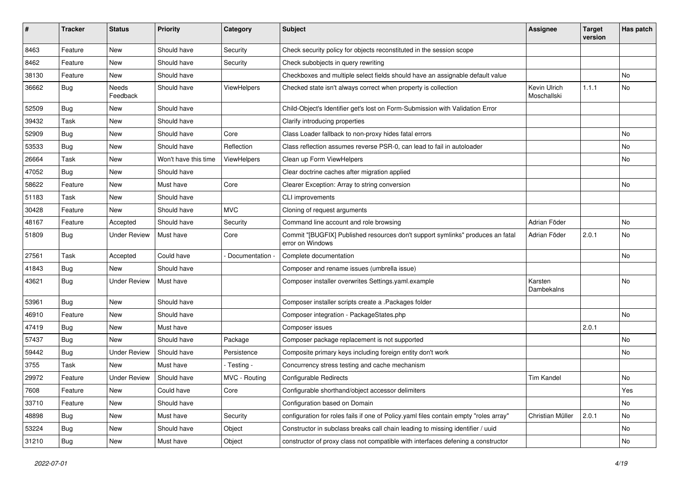| #     | <b>Tracker</b> | <b>Status</b>       | <b>Priority</b>      | Category           | Subject                                                                                            | <b>Assignee</b>             | <b>Target</b><br>version | Has patch |
|-------|----------------|---------------------|----------------------|--------------------|----------------------------------------------------------------------------------------------------|-----------------------------|--------------------------|-----------|
| 8463  | Feature        | New                 | Should have          | Security           | Check security policy for objects reconstituted in the session scope                               |                             |                          |           |
| 8462  | Feature        | New                 | Should have          | Security           | Check subobjects in query rewriting                                                                |                             |                          |           |
| 38130 | Feature        | New                 | Should have          |                    | Checkboxes and multiple select fields should have an assignable default value                      |                             |                          | No        |
| 36662 | <b>Bug</b>     | Needs<br>Feedback   | Should have          | <b>ViewHelpers</b> | Checked state isn't always correct when property is collection                                     | Kevin Ulrich<br>Moschallski | 1.1.1                    | No.       |
| 52509 | Bug            | New                 | Should have          |                    | Child-Object's Identifier get's lost on Form-Submission with Validation Error                      |                             |                          |           |
| 39432 | Task           | New                 | Should have          |                    | Clarify introducing properties                                                                     |                             |                          |           |
| 52909 | <b>Bug</b>     | New                 | Should have          | Core               | Class Loader fallback to non-proxy hides fatal errors                                              |                             |                          | No.       |
| 53533 | <b>Bug</b>     | New                 | Should have          | Reflection         | Class reflection assumes reverse PSR-0, can lead to fail in autoloader                             |                             |                          | No        |
| 26664 | Task           | New                 | Won't have this time | <b>ViewHelpers</b> | Clean up Form ViewHelpers                                                                          |                             |                          | No        |
| 47052 | <b>Bug</b>     | New                 | Should have          |                    | Clear doctrine caches after migration applied                                                      |                             |                          |           |
| 58622 | Feature        | New                 | Must have            | Core               | Clearer Exception: Array to string conversion                                                      |                             |                          | No        |
| 51183 | Task           | New                 | Should have          |                    | CLI improvements                                                                                   |                             |                          |           |
| 30428 | Feature        | New                 | Should have          | <b>MVC</b>         | Cloning of request arguments                                                                       |                             |                          |           |
| 48167 | Feature        | Accepted            | Should have          | Security           | Command line account and role browsing                                                             | Adrian Föder                |                          | No.       |
| 51809 | <b>Bug</b>     | <b>Under Review</b> | Must have            | Core               | Commit "[BUGFIX] Published resources don't support symlinks" produces an fatal<br>error on Windows | Adrian Föder                | 2.0.1                    | No        |
| 27561 | Task           | Accepted            | Could have           | Documentation -    | Complete documentation                                                                             |                             |                          | No        |
| 41843 | <b>Bug</b>     | New                 | Should have          |                    | Composer and rename issues (umbrella issue)                                                        |                             |                          |           |
| 43621 | <b>Bug</b>     | <b>Under Review</b> | Must have            |                    | Composer installer overwrites Settings.yaml.example                                                | Karsten<br>Dambekalns       |                          | No        |
| 53961 | Bug            | New                 | Should have          |                    | Composer installer scripts create a .Packages folder                                               |                             |                          |           |
| 46910 | Feature        | New                 | Should have          |                    | Composer integration - PackageStates.php                                                           |                             |                          | No.       |
| 47419 | <b>Bug</b>     | New                 | Must have            |                    | Composer issues                                                                                    |                             | 2.0.1                    |           |
| 57437 | Bug            | New                 | Should have          | Package            | Composer package replacement is not supported                                                      |                             |                          | No.       |
| 59442 | <b>Bug</b>     | <b>Under Review</b> | Should have          | Persistence        | Composite primary keys including foreign entity don't work                                         |                             |                          | No        |
| 3755  | Task           | New                 | Must have            | - Testing -        | Concurrency stress testing and cache mechanism                                                     |                             |                          |           |
| 29972 | Feature        | <b>Under Review</b> | Should have          | MVC - Routing      | <b>Configurable Redirects</b>                                                                      | <b>Tim Kandel</b>           |                          | No        |
| 7608  | Feature        | New                 | Could have           | Core               | Configurable shorthand/object accessor delimiters                                                  |                             |                          | Yes       |
| 33710 | Feature        | New                 | Should have          |                    | Configuration based on Domain                                                                      |                             |                          | No        |
| 48898 | Bug            | New                 | Must have            | Security           | configuration for roles fails if one of Policy yaml files contain empty "roles array"              | Christian Müller            | 2.0.1                    | No        |
| 53224 | <b>Bug</b>     | New                 | Should have          | Object             | Constructor in subclass breaks call chain leading to missing identifier / uuid                     |                             |                          | No        |
| 31210 | <b>Bug</b>     | New                 | Must have            | Object             | constructor of proxy class not compatible with interfaces defening a constructor                   |                             |                          | No        |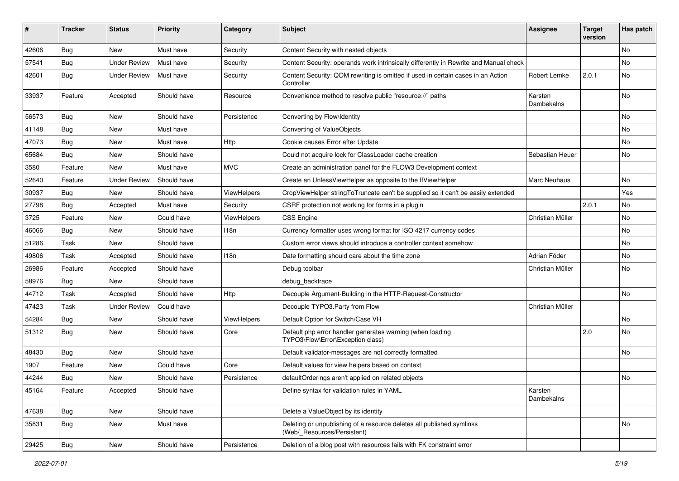| #     | <b>Tracker</b> | <b>Status</b>       | <b>Priority</b> | Category           | Subject                                                                                              | <b>Assignee</b>       | <b>Target</b><br>version | Has patch |
|-------|----------------|---------------------|-----------------|--------------------|------------------------------------------------------------------------------------------------------|-----------------------|--------------------------|-----------|
| 42606 | Bug            | New                 | Must have       | Security           | Content Security with nested objects                                                                 |                       |                          | No        |
| 57541 | <b>Bug</b>     | <b>Under Review</b> | Must have       | Security           | Content Security: operands work intrinsically differently in Rewrite and Manual check                |                       |                          | No        |
| 42601 | <b>Bug</b>     | <b>Under Review</b> | Must have       | Security           | Content Security: QOM rewriting is omitted if used in certain cases in an Action<br>Controller       | Robert Lemke          | 2.0.1                    | No        |
| 33937 | Feature        | Accepted            | Should have     | Resource           | Convenience method to resolve public "resource://" paths                                             | Karsten<br>Dambekalns |                          | No        |
| 56573 | Bug            | <b>New</b>          | Should have     | Persistence        | Converting by Flow\Identity                                                                          |                       |                          | No        |
| 41148 | <b>Bug</b>     | New                 | Must have       |                    | Converting of ValueObjects                                                                           |                       |                          | No        |
| 47073 | <b>Bug</b>     | New                 | Must have       | Http               | Cookie causes Error after Update                                                                     |                       |                          | No.       |
| 65684 | <b>Bug</b>     | New                 | Should have     |                    | Could not acquire lock for ClassLoader cache creation                                                | Sebastian Heuer       |                          | No        |
| 3580  | Feature        | New                 | Must have       | <b>MVC</b>         | Create an administration panel for the FLOW3 Development context                                     |                       |                          |           |
| 52640 | Feature        | <b>Under Review</b> | Should have     |                    | Create an UnlessViewHelper as opposite to the IfViewHelper                                           | <b>Marc Neuhaus</b>   |                          | No        |
| 30937 | Bug            | New                 | Should have     | <b>ViewHelpers</b> | CropViewHelper stringToTruncate can't be supplied so it can't be easily extended                     |                       |                          | Yes       |
| 27798 | <b>Bug</b>     | Accepted            | Must have       | Security           | CSRF protection not working for forms in a plugin                                                    |                       | 2.0.1                    | No        |
| 3725  | Feature        | New                 | Could have      | ViewHelpers        | <b>CSS Engine</b>                                                                                    | Christian Müller      |                          | No        |
| 46066 | <b>Bug</b>     | New                 | Should have     | 118n               | Currency formatter uses wrong format for ISO 4217 currency codes                                     |                       |                          | No.       |
| 51286 | Task           | New                 | Should have     |                    | Custom error views should introduce a controller context somehow                                     |                       |                          | No        |
| 49806 | Task           | Accepted            | Should have     | 118n               | Date formatting should care about the time zone                                                      | Adrian Föder          |                          | No        |
| 26986 | Feature        | Accepted            | Should have     |                    | Debug toolbar                                                                                        | Christian Müller      |                          | No        |
| 58976 | <b>Bug</b>     | New                 | Should have     |                    | debug_backtrace                                                                                      |                       |                          |           |
| 44712 | Task           | Accepted            | Should have     | <b>Http</b>        | Decouple Argument-Building in the HTTP-Request-Constructor                                           |                       |                          | No        |
| 47423 | Task           | <b>Under Review</b> | Could have      |                    | Decouple TYPO3.Party from Flow                                                                       | Christian Müller      |                          |           |
| 54284 | <b>Bug</b>     | New                 | Should have     | ViewHelpers        | Default Option for Switch/Case VH                                                                    |                       |                          | No        |
| 51312 | <b>Bug</b>     | New                 | Should have     | Core               | Default php error handler generates warning (when loading<br>TYPO3\Flow\Error\Exception class)       |                       | 2.0                      | No        |
| 48430 | <b>Bug</b>     | New                 | Should have     |                    | Default validator-messages are not correctly formatted                                               |                       |                          | No        |
| 1907  | Feature        | New                 | Could have      | Core               | Default values for view helpers based on context                                                     |                       |                          |           |
| 44244 | Bug            | New                 | Should have     | Persistence        | defaultOrderings aren't applied on related objects                                                   |                       |                          | No        |
| 45164 | Feature        | Accepted            | Should have     |                    | Define syntax for validation rules in YAML                                                           | Karsten<br>Dambekalns |                          |           |
| 47638 | Bug            | New                 | Should have     |                    | Delete a ValueObject by its identity                                                                 |                       |                          |           |
| 35831 | <b>Bug</b>     | New                 | Must have       |                    | Deleting or unpublishing of a resource deletes all published symlinks<br>(Web/ Resources/Persistent) |                       |                          | No        |
| 29425 | <b>Bug</b>     | New                 | Should have     | Persistence        | Deletion of a blog post with resources fails with FK constraint error                                |                       |                          |           |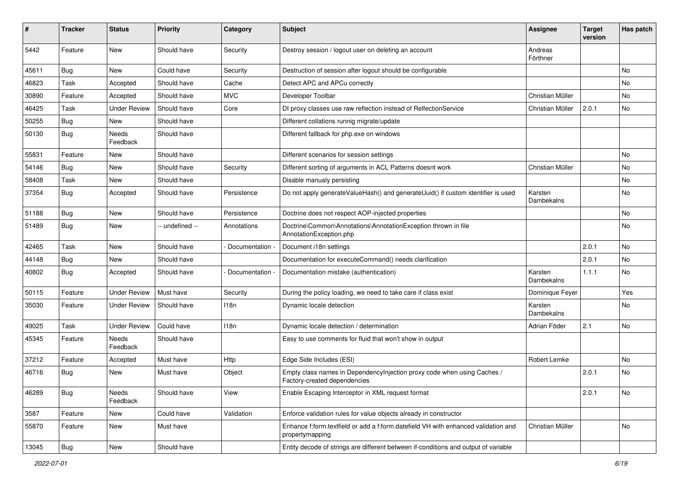| #     | <b>Tracker</b> | <b>Status</b>       | <b>Priority</b> | Category      | <b>Subject</b>                                                                                          | <b>Assignee</b>       | <b>Target</b><br>version | Has patch |
|-------|----------------|---------------------|-----------------|---------------|---------------------------------------------------------------------------------------------------------|-----------------------|--------------------------|-----------|
| 5442  | Feature        | <b>New</b>          | Should have     | Security      | Destroy session / logout user on deleting an account                                                    | Andreas<br>Förthner   |                          |           |
| 45611 | <b>Bug</b>     | <b>New</b>          | Could have      | Security      | Destruction of session after logout should be configurable                                              |                       |                          | No        |
| 46823 | Task           | Accepted            | Should have     | Cache         | Detect APC and APCu correctly                                                                           |                       |                          | No        |
| 30890 | Feature        | Accepted            | Should have     | <b>MVC</b>    | Developer Toolbar                                                                                       | Christian Müller      |                          | No        |
| 46425 | Task           | <b>Under Review</b> | Should have     | Core          | DI proxy classes use raw reflection instead of RelfectionService                                        | Christian Müller      | 2.0.1                    | No        |
| 50255 | Bug            | New                 | Should have     |               | Different collations runnig migrate/update                                                              |                       |                          |           |
| 50130 | <b>Bug</b>     | Needs<br>Feedback   | Should have     |               | Different fallback for php.exe on windows                                                               |                       |                          |           |
| 55831 | Feature        | New                 | Should have     |               | Different scenarios for session settings                                                                |                       |                          | No        |
| 54146 | <b>Bug</b>     | <b>New</b>          | Should have     | Security      | Different sorting of arguments in ACL Patterns doesnt work                                              | Christian Müller      |                          | No        |
| 58408 | Task           | New                 | Should have     |               | Disable manualy persisting                                                                              |                       |                          | No        |
| 37354 | Bug            | Accepted            | Should have     | Persistence   | Do not apply generateValueHash() and generateUuid() if custom identifier is used                        | Karsten<br>Dambekalns |                          | No        |
| 51188 | Bug            | <b>New</b>          | Should have     | Persistence   | Doctrine does not respect AOP-injected properties                                                       |                       |                          | No        |
| 51489 | <b>Bug</b>     | New                 | -- undefined -- | Annotations   | Doctrine\Common\Annotations\AnnotationException thrown in file<br>AnnotationException.php               |                       |                          | No        |
| 42465 | Task           | New                 | Should have     | Documentation | Document i18n settings                                                                                  |                       | 2.0.1                    | No        |
| 44148 | <b>Bug</b>     | New                 | Should have     |               | Documentation for executeCommand() needs clarification                                                  |                       | 2.0.1                    | No        |
| 40802 | Bug            | Accepted            | Should have     | Documentation | Documentation mistake (authentication)                                                                  | Karsten<br>Dambekalns | 1.1.1                    | No        |
| 50115 | Feature        | <b>Under Review</b> | Must have       | Security      | During the policy loading, we need to take care if class exist                                          | Dominique Feyer       |                          | Yes       |
| 35030 | Feature        | <b>Under Review</b> | Should have     | 118n          | Dynamic locale detection                                                                                | Karsten<br>Dambekalns |                          | No        |
| 49025 | Task           | <b>Under Review</b> | Could have      | 118n          | Dynamic locale detection / determination                                                                | Adrian Föder          | 2.1                      | No        |
| 45345 | Feature        | Needs<br>Feedback   | Should have     |               | Easy to use comments for fluid that won't show in output                                                |                       |                          |           |
| 37212 | Feature        | Accepted            | Must have       | Http          | Edge Side Includes (ESI)                                                                                | Robert Lemke          |                          | No        |
| 46716 | <b>Bug</b>     | New                 | Must have       | Object        | Empty class names in DependencyInjection proxy code when using Caches /<br>Factory-created dependencies |                       | 2.0.1                    | No        |
| 46289 | <b>Bug</b>     | Needs<br>Feedback   | Should have     | View          | Enable Escaping Interceptor in XML request format                                                       |                       | 2.0.1                    | No        |
| 3587  | Feature        | New                 | Could have      | Validation    | Enforce validation rules for value objects already in constructor                                       |                       |                          |           |
| 55870 | Feature        | New                 | Must have       |               | Enhance f:form.textfield or add a f:form.datefield VH with enhanced validation and<br>propertymapping   | Christian Müller      |                          | No        |
| 13045 | Bug            | New                 | Should have     |               | Entity decode of strings are different between if-conditions and output of variable                     |                       |                          |           |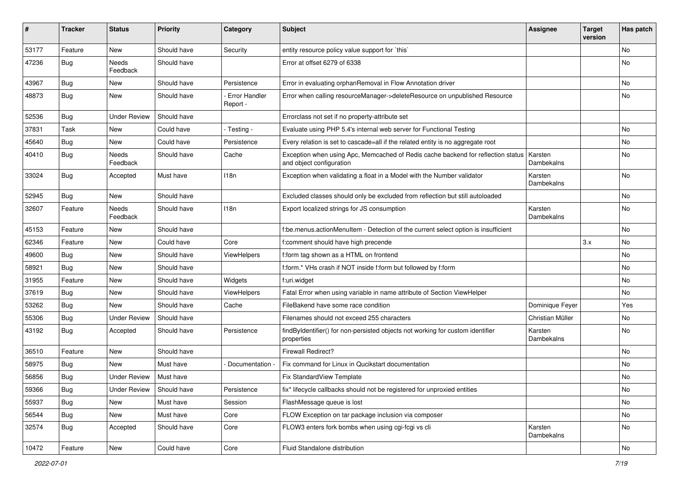| #     | <b>Tracker</b> | <b>Status</b>       | <b>Priority</b> | Category                         | <b>Subject</b>                                                                                               | <b>Assignee</b>       | <b>Target</b><br>version | Has patch |
|-------|----------------|---------------------|-----------------|----------------------------------|--------------------------------------------------------------------------------------------------------------|-----------------------|--------------------------|-----------|
| 53177 | Feature        | New                 | Should have     | Security                         | entity resource policy value support for `this`                                                              |                       |                          | No        |
| 47236 | <b>Bug</b>     | Needs<br>Feedback   | Should have     |                                  | Error at offset 6279 of 6338                                                                                 |                       |                          | No        |
| 43967 | Bug            | <b>New</b>          | Should have     | Persistence                      | Error in evaluating orphanRemoval in Flow Annotation driver                                                  |                       |                          | No        |
| 48873 | <b>Bug</b>     | New                 | Should have     | <b>Error Handler</b><br>Report - | Error when calling resourceManager->deleteResource on unpublished Resource                                   |                       |                          | No        |
| 52536 | Bug            | <b>Under Review</b> | Should have     |                                  | Errorclass not set if no property-attribute set                                                              |                       |                          |           |
| 37831 | Task           | New                 | Could have      | - Testing -                      | Evaluate using PHP 5.4's internal web server for Functional Testing                                          |                       |                          | No        |
| 45640 | Bug            | New                 | Could have      | Persistence                      | Every relation is set to cascade=all if the related entity is no aggregate root                              |                       |                          | No        |
| 40410 | <b>Bug</b>     | Needs<br>Feedback   | Should have     | Cache                            | Exception when using Apc, Memcached of Redis cache backend for reflection status<br>and object configuration | Karsten<br>Dambekalns |                          | No        |
| 33024 | Bug            | Accepted            | Must have       | 118n                             | Exception when validating a float in a Model with the Number validator                                       | Karsten<br>Dambekalns |                          | No        |
| 52945 | <b>Bug</b>     | New                 | Should have     |                                  | Excluded classes should only be excluded from reflection but still autoloaded                                |                       |                          | No        |
| 32607 | Feature        | Needs<br>Feedback   | Should have     | 118n                             | Export localized strings for JS consumption                                                                  | Karsten<br>Dambekalns |                          | No        |
| 45153 | Feature        | New                 | Should have     |                                  | f:be.menus.actionMenuItem - Detection of the current select option is insufficient                           |                       |                          | No        |
| 62346 | Feature        | New                 | Could have      | Core                             | f:comment should have high precende                                                                          |                       | 3.x                      | No        |
| 49600 | <b>Bug</b>     | New                 | Should have     | ViewHelpers                      | f:form tag shown as a HTML on frontend                                                                       |                       |                          | No.       |
| 58921 | Bug            | <b>New</b>          | Should have     |                                  | f:form.* VHs crash if NOT inside f:form but followed by f:form                                               |                       |                          | No        |
| 31955 | Feature        | New                 | Should have     | Widgets                          | f:uri.widget                                                                                                 |                       |                          | No        |
| 37619 | <b>Bug</b>     | New                 | Should have     | ViewHelpers                      | Fatal Error when using variable in name attribute of Section ViewHelper                                      |                       |                          | No        |
| 53262 | Bug            | New                 | Should have     | Cache                            | FileBakend have some race condition                                                                          | Dominique Feyer       |                          | Yes       |
| 55306 | <b>Bug</b>     | <b>Under Review</b> | Should have     |                                  | Filenames should not exceed 255 characters                                                                   | Christian Müller      |                          | No        |
| 43192 | <b>Bug</b>     | Accepted            | Should have     | Persistence                      | findByIdentifier() for non-persisted objects not working for custom identifier<br>properties                 | Karsten<br>Dambekalns |                          | No        |
| 36510 | Feature        | New                 | Should have     |                                  | <b>Firewall Redirect?</b>                                                                                    |                       |                          | No.       |
| 58975 | Bug            | New                 | Must have       | Documentation -                  | Fix command for Linux in Qucikstart documentation                                                            |                       |                          | No        |
| 56856 | <b>Bug</b>     | <b>Under Review</b> | Must have       |                                  | Fix StandardView Template                                                                                    |                       |                          | No        |
| 59366 | <b>Bug</b>     | <b>Under Review</b> | Should have     | Persistence                      | fix* lifecycle callbacks should not be registered for unproxied entities                                     |                       |                          | No        |
| 55937 | <b>Bug</b>     | New                 | Must have       | Session                          | FlashMessage queue is lost                                                                                   |                       |                          | No        |
| 56544 | <b>Bug</b>     | New                 | Must have       | Core                             | FLOW Exception on tar package inclusion via composer                                                         |                       |                          | No        |
| 32574 | <b>Bug</b>     | Accepted            | Should have     | Core                             | FLOW3 enters fork bombs when using cgi-fcgi vs cli                                                           | Karsten<br>Dambekalns |                          | No        |
| 10472 | Feature        | New                 | Could have      | Core                             | Fluid Standalone distribution                                                                                |                       |                          | No        |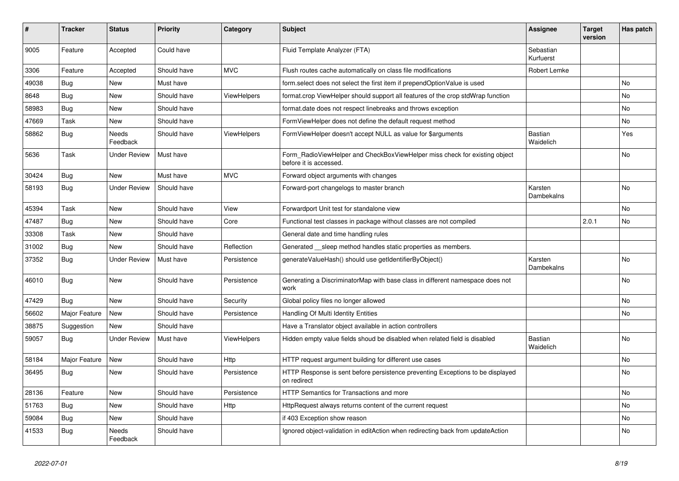| #     | <b>Tracker</b> | <b>Status</b>       | <b>Priority</b> | Category           | <b>Subject</b>                                                                                       | Assignee                    | <b>Target</b><br>version | Has patch      |
|-------|----------------|---------------------|-----------------|--------------------|------------------------------------------------------------------------------------------------------|-----------------------------|--------------------------|----------------|
| 9005  | Feature        | Accepted            | Could have      |                    | Fluid Template Analyzer (FTA)                                                                        | Sebastian<br>Kurfuerst      |                          |                |
| 3306  | Feature        | Accepted            | Should have     | <b>MVC</b>         | Flush routes cache automatically on class file modifications                                         | Robert Lemke                |                          |                |
| 49038 | <b>Bug</b>     | New                 | Must have       |                    | form select does not select the first item if prependOptionValue is used                             |                             |                          | No             |
| 8648  | <b>Bug</b>     | <b>New</b>          | Should have     | <b>ViewHelpers</b> | format.crop ViewHelper should support all features of the crop stdWrap function                      |                             |                          | No             |
| 58983 | <b>Bug</b>     | New                 | Should have     |                    | format.date does not respect linebreaks and throws exception                                         |                             |                          | No             |
| 47669 | Task           | New                 | Should have     |                    | FormViewHelper does not define the default request method                                            |                             |                          | No             |
| 58862 | <b>Bug</b>     | Needs<br>Feedback   | Should have     | <b>ViewHelpers</b> | FormViewHelper doesn't accept NULL as value for \$arguments                                          | Bastian<br>Waidelich        |                          | Yes            |
| 5636  | Task           | <b>Under Review</b> | Must have       |                    | Form_RadioViewHelper and CheckBoxViewHelper miss check for existing object<br>before it is accessed. |                             |                          | <b>No</b>      |
| 30424 | Bug            | New                 | Must have       | <b>MVC</b>         | Forward object arguments with changes                                                                |                             |                          |                |
| 58193 | <b>Bug</b>     | <b>Under Review</b> | Should have     |                    | Forward-port changelogs to master branch                                                             | Karsten<br>Dambekalns       |                          | <b>No</b>      |
| 45394 | Task           | New                 | Should have     | View               | Forwardport Unit test for standalone view                                                            |                             |                          | No             |
| 47487 | Bug            | New                 | Should have     | Core               | Functional test classes in package without classes are not compiled                                  |                             | 2.0.1                    | No             |
| 33308 | Task           | New                 | Should have     |                    | General date and time handling rules                                                                 |                             |                          |                |
| 31002 | Bug            | New                 | Should have     | Reflection         | Generated sleep method handles static properties as members.                                         |                             |                          |                |
| 37352 | <b>Bug</b>     | <b>Under Review</b> | Must have       | Persistence        | generateValueHash() should use getIdentifierByObject()                                               | Karsten<br>Dambekalns       |                          | No             |
| 46010 | <b>Bug</b>     | New                 | Should have     | Persistence        | Generating a DiscriminatorMap with base class in different namespace does not<br>work                |                             |                          | No             |
| 47429 | <b>Bug</b>     | <b>New</b>          | Should have     | Security           | Global policy files no longer allowed                                                                |                             |                          | <b>No</b>      |
| 56602 | Major Feature  | <b>New</b>          | Should have     | Persistence        | Handling Of Multi Identity Entities                                                                  |                             |                          | <b>No</b>      |
| 38875 | Suggestion     | <b>New</b>          | Should have     |                    | Have a Translator object available in action controllers                                             |                             |                          |                |
| 59057 | Bug            | Under Review        | Must have       | ViewHelpers        | Hidden empty value fields shoud be disabled when related field is disabled                           | <b>Bastian</b><br>Waidelich |                          | No             |
| 58184 | Major Feature  | New                 | Should have     | Http               | HTTP request argument building for different use cases                                               |                             |                          | No             |
| 36495 | <b>Bug</b>     | New                 | Should have     | Persistence        | HTTP Response is sent before persistence preventing Exceptions to be displayed<br>on redirect        |                             |                          | No             |
| 28136 | Feature        | <b>New</b>          | Should have     | Persistence        | <b>HTTP Semantics for Transactions and more</b>                                                      |                             |                          | No             |
| 51763 | <b>Bug</b>     | <b>New</b>          | Should have     | Http               | HttpRequest always returns content of the current request                                            |                             |                          | <b>No</b>      |
| 59084 | Bug            | <b>New</b>          | Should have     |                    | if 403 Exception show reason                                                                         |                             |                          | N <sub>o</sub> |
| 41533 | Bug            | Needs<br>Feedback   | Should have     |                    | Ignored object-validation in editAction when redirecting back from updateAction                      |                             |                          | No             |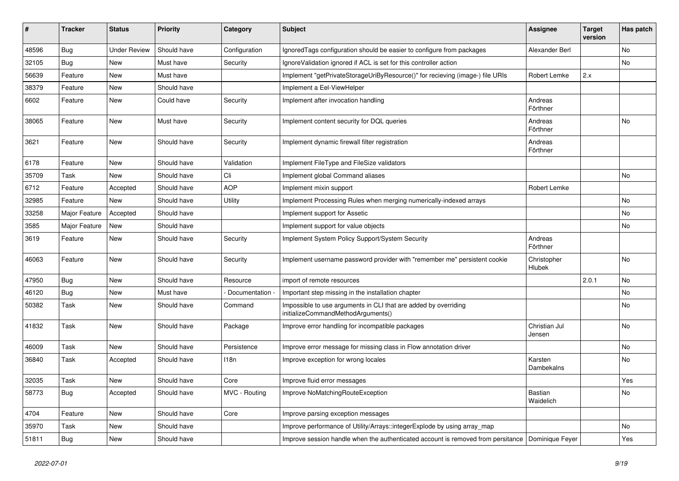| ∦     | <b>Tracker</b> | <b>Status</b>       | <b>Priority</b> | Category        | <b>Subject</b>                                                                                        | <b>Assignee</b>              | <b>Target</b><br>version | Has patch |
|-------|----------------|---------------------|-----------------|-----------------|-------------------------------------------------------------------------------------------------------|------------------------------|--------------------------|-----------|
| 48596 | <b>Bug</b>     | <b>Under Review</b> | Should have     | Configuration   | Ignored Tags configuration should be easier to configure from packages                                | Alexander Berl               |                          | No        |
| 32105 | Bug            | New                 | Must have       | Security        | Ignore Validation ignored if ACL is set for this controller action                                    |                              |                          | No        |
| 56639 | Feature        | New                 | Must have       |                 | Implement "getPrivateStorageUriByResource()" for recieving (image-) file URIs                         | Robert Lemke                 | 2.x                      |           |
| 38379 | Feature        | <b>New</b>          | Should have     |                 | Implement a Eel-ViewHelper                                                                            |                              |                          |           |
| 6602  | Feature        | New                 | Could have      | Security        | Implement after invocation handling                                                                   | Andreas<br>Förthner          |                          |           |
| 38065 | Feature        | New                 | Must have       | Security        | Implement content security for DQL queries                                                            | Andreas<br>Förthner          |                          | No        |
| 3621  | Feature        | <b>New</b>          | Should have     | Security        | Implement dynamic firewall filter registration                                                        | Andreas<br>Förthner          |                          |           |
| 6178  | Feature        | New                 | Should have     | Validation      | Implement FileType and FileSize validators                                                            |                              |                          |           |
| 35709 | Task           | New                 | Should have     | Cli             | Implement global Command aliases                                                                      |                              |                          | No        |
| 6712  | Feature        | Accepted            | Should have     | <b>AOP</b>      | Implement mixin support                                                                               | Robert Lemke                 |                          |           |
| 32985 | Feature        | New                 | Should have     | Utility         | Implement Processing Rules when merging numerically-indexed arrays                                    |                              |                          | No        |
| 33258 | Major Feature  | Accepted            | Should have     |                 | Implement support for Assetic                                                                         |                              |                          | No        |
| 3585  | Major Feature  | New                 | Should have     |                 | Implement support for value objects                                                                   |                              |                          | No        |
| 3619  | Feature        | New                 | Should have     | Security        | Implement System Policy Support/System Security                                                       | Andreas<br>Förthner          |                          |           |
| 46063 | Feature        | New                 | Should have     | Security        | Implement username password provider with "remember me" persistent cookie                             | Christopher<br><b>Hlubek</b> |                          | No        |
| 47950 | <b>Bug</b>     | New                 | Should have     | Resource        | import of remote resources                                                                            |                              | 2.0.1                    | No        |
| 46120 | Bug            | New                 | Must have       | Documentation - | Important step missing in the installation chapter                                                    |                              |                          | No        |
| 50382 | Task           | New                 | Should have     | Command         | Impossible to use arguments in CLI that are added by overriding<br>initializeCommandMethodArguments() |                              |                          | No        |
| 41832 | Task           | <b>New</b>          | Should have     | Package         | Improve error handling for incompatible packages                                                      | Christian Jul<br>Jensen      |                          | No        |
| 46009 | Task           | New                 | Should have     | Persistence     | Improve error message for missing class in Flow annotation driver                                     |                              |                          | <b>No</b> |
| 36840 | Task           | Accepted            | Should have     | 118n            | Improve exception for wrong locales                                                                   | Karsten<br>Dambekalns        |                          | No        |
| 32035 | Task           | New                 | Should have     | Core            | Improve fluid error messages                                                                          |                              |                          | Yes       |
| 58773 | <b>Bug</b>     | Accepted            | Should have     | MVC - Routing   | Improve NoMatchingRouteException                                                                      | Bastian<br>Waidelich         |                          | No        |
| 4704  | Feature        | New                 | Should have     | Core            | Improve parsing exception messages                                                                    |                              |                          |           |
| 35970 | Task           | New                 | Should have     |                 | Improve performance of Utility/Arrays::integerExplode by using array_map                              |                              |                          | No        |
| 51811 | Bug            | New                 | Should have     |                 | Improve session handle when the authenticated account is removed from persitance                      | Dominique Feyer              |                          | Yes       |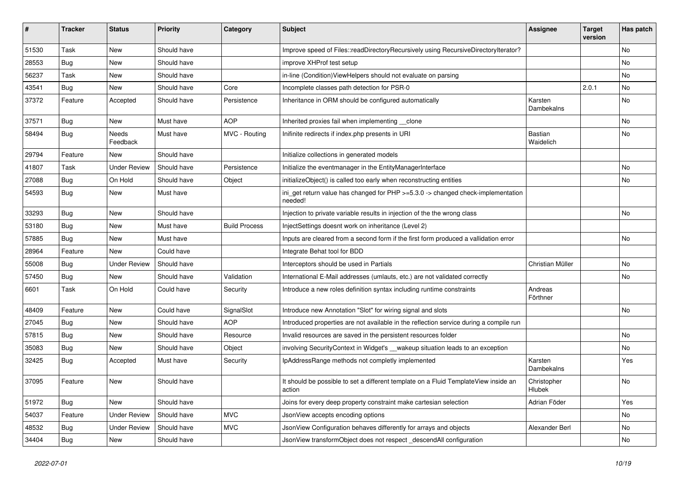| ∦     | <b>Tracker</b> | <b>Status</b>       | <b>Priority</b> | Category             | <b>Subject</b>                                                                                | <b>Assignee</b>             | <b>Target</b><br>version | Has patch |
|-------|----------------|---------------------|-----------------|----------------------|-----------------------------------------------------------------------------------------------|-----------------------------|--------------------------|-----------|
| 51530 | Task           | New                 | Should have     |                      | Improve speed of Files::readDirectoryRecursively using RecursiveDirectoryIterator?            |                             |                          | <b>No</b> |
| 28553 | Bug            | New                 | Should have     |                      | improve XHProf test setup                                                                     |                             |                          | No        |
| 56237 | Task           | New                 | Should have     |                      | in-line (Condition) ViewHelpers should not evaluate on parsing                                |                             |                          | No        |
| 43541 | Bug            | New                 | Should have     | Core                 | Incomplete classes path detection for PSR-0                                                   |                             | 2.0.1                    | No        |
| 37372 | Feature        | Accepted            | Should have     | Persistence          | Inheritance in ORM should be configured automatically                                         | Karsten<br>Dambekalns       |                          | No        |
| 37571 | <b>Bug</b>     | New                 | Must have       | <b>AOP</b>           | Inherited proxies fail when implementing clone                                                |                             |                          | No        |
| 58494 | <b>Bug</b>     | Needs<br>Feedback   | Must have       | MVC - Routing        | Inifinite redirects if index.php presents in URI                                              | <b>Bastian</b><br>Waidelich |                          | <b>No</b> |
| 29794 | Feature        | New                 | Should have     |                      | Initialize collections in generated models                                                    |                             |                          |           |
| 41807 | <b>Task</b>    | <b>Under Review</b> | Should have     | Persistence          | Initialize the eventmanager in the EntityManagerInterface                                     |                             |                          | <b>No</b> |
| 27088 | <b>Bug</b>     | On Hold             | Should have     | Object               | initializeObject() is called too early when reconstructing entities                           |                             |                          | No        |
| 54593 | <b>Bug</b>     | New                 | Must have       |                      | ini_get return value has changed for PHP >=5.3.0 -> changed check-implementation<br>needed!   |                             |                          |           |
| 33293 | Bug            | New                 | Should have     |                      | Injection to private variable results in injection of the the wrong class                     |                             |                          | No        |
| 53180 | <b>Bug</b>     | New                 | Must have       | <b>Build Process</b> | InjectSettings doesnt work on inheritance (Level 2)                                           |                             |                          |           |
| 57885 | Bug            | New                 | Must have       |                      | Inputs are cleared from a second form if the first form produced a vallidation error          |                             |                          | No        |
| 28964 | Feature        | <b>New</b>          | Could have      |                      | Integrate Behat tool for BDD                                                                  |                             |                          |           |
| 55008 | Bug            | <b>Under Review</b> | Should have     |                      | Interceptors should be used in Partials                                                       | Christian Müller            |                          | No        |
| 57450 | <b>Bug</b>     | New                 | Should have     | Validation           | International E-Mail addresses (umlauts, etc.) are not validated correctly                    |                             |                          | No        |
| 6601  | Task           | On Hold             | Could have      | Security             | Introduce a new roles definition syntax including runtime constraints                         | Andreas<br>Förthner         |                          |           |
| 48409 | Feature        | New                 | Could have      | SignalSlot           | Introduce new Annotation "Slot" for wiring signal and slots                                   |                             |                          | No        |
| 27045 | <b>Bug</b>     | New                 | Should have     | <b>AOP</b>           | Introduced properties are not available in the reflection service during a compile run        |                             |                          |           |
| 57815 | Bug            | New                 | Should have     | Resource             | Invalid resources are saved in the persistent resources folder                                |                             |                          | <b>No</b> |
| 35083 | Bug            | New                 | Should have     | Object               | involving SecurityContext in Widget's __wakeup situation leads to an exception                |                             |                          | No        |
| 32425 | <b>Bug</b>     | Accepted            | Must have       | Security             | IpAddressRange methods not completly implemented                                              | Karsten<br>Dambekalns       |                          | Yes       |
| 37095 | Feature        | New                 | Should have     |                      | It should be possible to set a different template on a Fluid TemplateView inside an<br>action | Christopher<br>Hlubek       |                          | No        |
| 51972 | <b>Bug</b>     | New                 | Should have     |                      | Joins for every deep property constraint make cartesian selection                             | Adrian Föder                |                          | Yes       |
| 54037 | Feature        | <b>Under Review</b> | Should have     | <b>MVC</b>           | JsonView accepts encoding options                                                             |                             |                          | No        |
| 48532 | <b>Bug</b>     | <b>Under Review</b> | Should have     | <b>MVC</b>           | JsonView Configuration behaves differently for arrays and objects                             | Alexander Berl              |                          | No        |
| 34404 | <b>Bug</b>     | New                 | Should have     |                      | JsonView transformObject does not respect descendAll configuration                            |                             |                          | No        |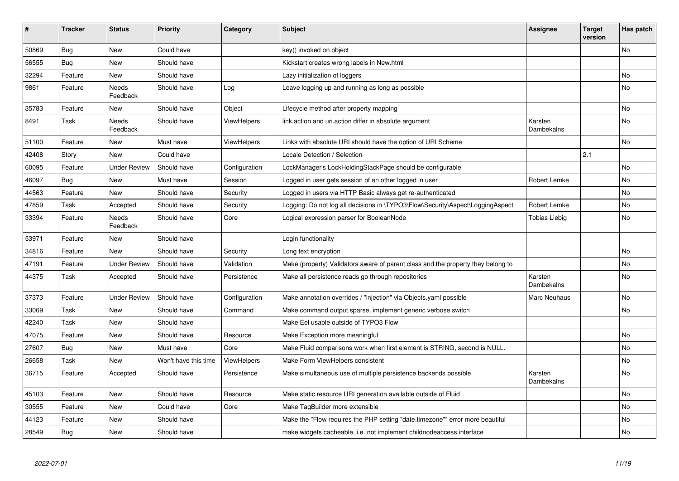| ∦     | <b>Tracker</b> | <b>Status</b>       | <b>Priority</b>      | Category           | <b>Subject</b>                                                                   | Assignee              | <b>Target</b><br>version | Has patch |
|-------|----------------|---------------------|----------------------|--------------------|----------------------------------------------------------------------------------|-----------------------|--------------------------|-----------|
| 50869 | Bug            | <b>New</b>          | Could have           |                    | key() invoked on object                                                          |                       |                          | <b>No</b> |
| 56555 | Bug            | New                 | Should have          |                    | Kickstart creates wrong labels in New.html                                       |                       |                          |           |
| 32294 | Feature        | New                 | Should have          |                    | Lazy initialization of loggers                                                   |                       |                          | <b>No</b> |
| 9861  | Feature        | Needs<br>Feedback   | Should have          | Log                | Leave logging up and running as long as possible                                 |                       |                          | No        |
| 35783 | Feature        | New                 | Should have          | Object             | Lifecycle method after property mapping                                          |                       |                          | No        |
| 8491  | Task           | Needs<br>Feedback   | Should have          | <b>ViewHelpers</b> | link.action and uri.action differ in absolute argument                           | Karsten<br>Dambekalns |                          | <b>No</b> |
| 51100 | Feature        | New                 | Must have            | <b>ViewHelpers</b> | Links with absolute URI should have the option of URI Scheme                     |                       |                          | <b>No</b> |
| 42408 | Story          | <b>New</b>          | Could have           |                    | Locale Detection / Selection                                                     |                       | 2.1                      |           |
| 60095 | Feature        | Under Review        | Should have          | Configuration      | LockManager's LockHoldingStackPage should be configurable                        |                       |                          | <b>No</b> |
| 46097 | Bug            | New                 | Must have            | Session            | Logged in user gets session of an other logged in user                           | Robert Lemke          |                          | <b>No</b> |
| 44563 | Feature        | New                 | Should have          | Security           | Logged in users via HTTP Basic always get re-authenticated                       |                       |                          | No        |
| 47859 | Task           | Accepted            | Should have          | Security           | Logging: Do not log all decisions in \TYPO3\Flow\Security\Aspect\LoggingAspect   | Robert Lemke          |                          | <b>No</b> |
| 33394 | Feature        | Needs<br>Feedback   | Should have          | Core               | Logical expression parser for BooleanNode                                        | Tobias Liebig         |                          | No        |
| 53971 | Feature        | <b>New</b>          | Should have          |                    | Login functionality                                                              |                       |                          |           |
| 34816 | Feature        | New                 | Should have          | Security           | Long text encryption                                                             |                       |                          | <b>No</b> |
| 47191 | Feature        | Under Review        | Should have          | Validation         | Make (property) Validators aware of parent class and the property they belong to |                       |                          | <b>No</b> |
| 44375 | Task           | Accepted            | Should have          | Persistence        | Make all persistence reads go through repositories                               | Karsten<br>Dambekalns |                          | No        |
| 37373 | Feature        | <b>Under Review</b> | Should have          | Configuration      | Make annotation overrides / "injection" via Objects yaml possible                | Marc Neuhaus          |                          | No        |
| 33069 | Task           | <b>New</b>          | Should have          | Command            | Make command output sparse, implement generic verbose switch                     |                       |                          | <b>No</b> |
| 42240 | Task           | <b>New</b>          | Should have          |                    | Make Eel usable outside of TYPO3 Flow                                            |                       |                          |           |
| 47075 | Feature        | New                 | Should have          | Resource           | Make Exception more meaningful                                                   |                       |                          | <b>No</b> |
| 27607 | <b>Bug</b>     | New                 | Must have            | Core               | Make Fluid comparisons work when first element is STRING, second is NULL.        |                       |                          | <b>No</b> |
| 26658 | Task           | New                 | Won't have this time | ViewHelpers        | Make Form ViewHelpers consistent                                                 |                       |                          | No        |
| 36715 | Feature        | Accepted            | Should have          | Persistence        | Make simultaneous use of multiple persistence backends possible                  | Karsten<br>Dambekalns |                          | <b>No</b> |
| 45103 | Feature        | New                 | Should have          | Resource           | Make static resource URI generation available outside of Fluid                   |                       |                          | No        |
| 30555 | Feature        | New                 | Could have           | Core               | Make TagBuilder more extensible                                                  |                       |                          | No        |
| 44123 | Feature        | New                 | Should have          |                    | Make the "Flow requires the PHP setting "date.timezone"" error more beautiful    |                       |                          | No        |
| 28549 | <b>Bug</b>     | <b>New</b>          | Should have          |                    | make widgets cacheable, i.e. not implement childnodeaccess interface             |                       |                          | No        |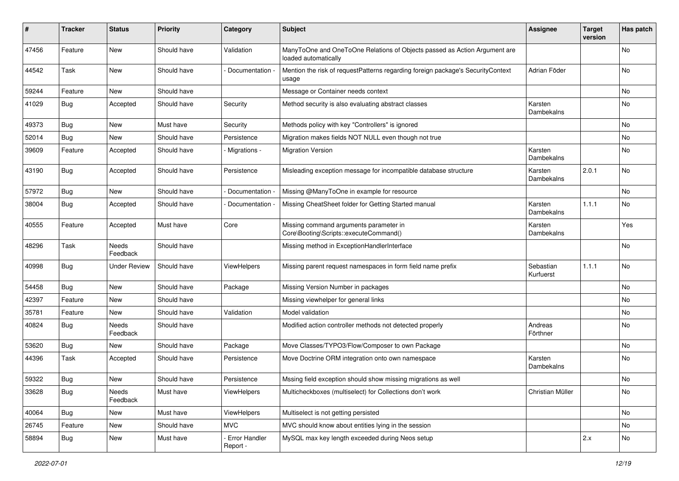| #     | <b>Tracker</b> | <b>Status</b>     | Priority    | Category                  | <b>Subject</b>                                                                                    | <b>Assignee</b>        | <b>Target</b><br>version | Has patch |
|-------|----------------|-------------------|-------------|---------------------------|---------------------------------------------------------------------------------------------------|------------------------|--------------------------|-----------|
| 47456 | Feature        | <b>New</b>        | Should have | Validation                | ManyToOne and OneToOne Relations of Objects passed as Action Argument are<br>loaded automatically |                        |                          | No        |
| 44542 | Task           | New               | Should have | Documentation -           | Mention the risk of requestPatterns regarding foreign package's SecurityContext<br>usage          | Adrian Föder           |                          | No        |
| 59244 | Feature        | New               | Should have |                           | Message or Container needs context                                                                |                        |                          | No        |
| 41029 | <b>Bug</b>     | Accepted          | Should have | Security                  | Method security is also evaluating abstract classes                                               | Karsten<br>Dambekalns  |                          | <b>No</b> |
| 49373 | <b>Bug</b>     | <b>New</b>        | Must have   | Security                  | Methods policy with key "Controllers" is ignored                                                  |                        |                          | No        |
| 52014 | Bug            | New               | Should have | Persistence               | Migration makes fields NOT NULL even though not true                                              |                        |                          | No        |
| 39609 | Feature        | Accepted          | Should have | Migrations -              | <b>Migration Version</b>                                                                          | Karsten<br>Dambekalns  |                          | <b>No</b> |
| 43190 | <b>Bug</b>     | Accepted          | Should have | Persistence               | Misleading exception message for incompatible database structure                                  | Karsten<br>Dambekalns  | 2.0.1                    | <b>No</b> |
| 57972 | <b>Bug</b>     | <b>New</b>        | Should have | Documentation -           | Missing @ManyToOne in example for resource                                                        |                        |                          | No        |
| 38004 | <b>Bug</b>     | Accepted          | Should have | Documentation             | Missing CheatSheet folder for Getting Started manual                                              | Karsten<br>Dambekalns  | 1.1.1                    | <b>No</b> |
| 40555 | Feature        | Accepted          | Must have   | Core                      | Missing command arguments parameter in<br>Core\Booting\Scripts::executeCommand()                  | Karsten<br>Dambekalns  |                          | Yes       |
| 48296 | Task           | Needs<br>Feedback | Should have |                           | Missing method in ExceptionHandlerInterface                                                       |                        |                          | <b>No</b> |
| 40998 | <b>Bug</b>     | Under Review      | Should have | ViewHelpers               | Missing parent request namespaces in form field name prefix                                       | Sebastian<br>Kurfuerst | 1.1.1                    | No        |
| 54458 | <b>Bug</b>     | <b>New</b>        | Should have | Package                   | Missing Version Number in packages                                                                |                        |                          | No        |
| 42397 | Feature        | New               | Should have |                           | Missing viewhelper for general links                                                              |                        |                          | No        |
| 35781 | Feature        | New               | Should have | Validation                | Model validation                                                                                  |                        |                          | No        |
| 40824 | Bug            | Needs<br>Feedback | Should have |                           | Modified action controller methods not detected properly                                          | Andreas<br>Förthner    |                          | No        |
| 53620 | Bug            | New               | Should have | Package                   | Move Classes/TYPO3/Flow/Composer to own Package                                                   |                        |                          | No        |
| 44396 | Task           | Accepted          | Should have | Persistence               | Move Doctrine ORM integration onto own namespace                                                  | Karsten<br>Dambekalns  |                          | No.       |
| 59322 | Bug            | <b>New</b>        | Should have | Persistence               | Mssing field exception should show missing migrations as well                                     |                        |                          | No        |
| 33628 | <b>Bug</b>     | Needs<br>Feedback | Must have   | ViewHelpers               | Multicheckboxes (multiselect) for Collections don't work                                          | Christian Müller       |                          | No        |
| 40064 | <b>Bug</b>     | New               | Must have   | ViewHelpers               | Multiselect is not getting persisted                                                              |                        |                          | No        |
| 26745 | Feature        | New               | Should have | <b>MVC</b>                | MVC should know about entities lying in the session                                               |                        |                          | No        |
| 58894 | <b>Bug</b>     | New               | Must have   | Error Handler<br>Report - | MySQL max key length exceeded during Neos setup                                                   |                        | 2.x                      | No        |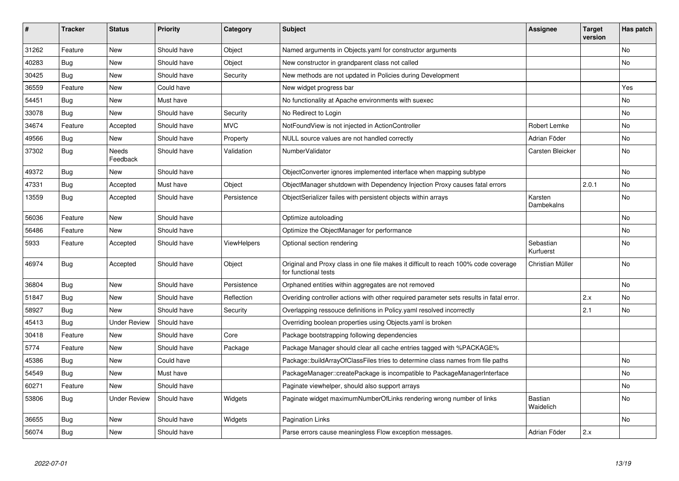| ∦     | <b>Tracker</b> | <b>Status</b>       | <b>Priority</b> | Category           | <b>Subject</b>                                                                                              | <b>Assignee</b>             | <b>Target</b><br>version | Has patch |
|-------|----------------|---------------------|-----------------|--------------------|-------------------------------------------------------------------------------------------------------------|-----------------------------|--------------------------|-----------|
| 31262 | Feature        | New                 | Should have     | Object             | Named arguments in Objects yaml for constructor arguments                                                   |                             |                          | <b>No</b> |
| 40283 | <b>Bug</b>     | New                 | Should have     | Object             | New constructor in grandparent class not called                                                             |                             |                          | No        |
| 30425 | Bug            | New                 | Should have     | Security           | New methods are not updated in Policies during Development                                                  |                             |                          |           |
| 36559 | Feature        | New                 | Could have      |                    | New widget progress bar                                                                                     |                             |                          | Yes       |
| 54451 | Bug            | New                 | Must have       |                    | No functionality at Apache environments with suexec                                                         |                             |                          | No        |
| 33078 | Bug            | New                 | Should have     | Security           | No Redirect to Login                                                                                        |                             |                          | No        |
| 34674 | Feature        | Accepted            | Should have     | <b>MVC</b>         | NotFoundView is not injected in ActionController                                                            | Robert Lemke                |                          | No        |
| 49566 | <b>Bug</b>     | <b>New</b>          | Should have     | Property           | NULL source values are not handled correctly                                                                | Adrian Föder                |                          | No        |
| 37302 | Bug            | Needs<br>Feedback   | Should have     | Validation         | NumberValidator                                                                                             | Carsten Bleicker            |                          | <b>No</b> |
| 49372 | <b>Bug</b>     | New                 | Should have     |                    | ObjectConverter ignores implemented interface when mapping subtype                                          |                             |                          | No        |
| 47331 | Bug            | Accepted            | Must have       | Object             | ObjectManager shutdown with Dependency Injection Proxy causes fatal errors                                  |                             | 2.0.1                    | No        |
| 13559 | <b>Bug</b>     | Accepted            | Should have     | Persistence        | ObjectSerializer failes with persistent objects within arrays                                               | Karsten<br>Dambekalns       |                          | No        |
| 56036 | Feature        | <b>New</b>          | Should have     |                    | Optimize autoloading                                                                                        |                             |                          | <b>No</b> |
| 56486 | Feature        | New                 | Should have     |                    | Optimize the ObjectManager for performance                                                                  |                             |                          | No        |
| 5933  | Feature        | Accepted            | Should have     | <b>ViewHelpers</b> | Optional section rendering                                                                                  | Sebastian<br>Kurfuerst      |                          | <b>No</b> |
| 46974 | <b>Bug</b>     | Accepted            | Should have     | Object             | Original and Proxy class in one file makes it difficult to reach 100% code coverage<br>for functional tests | Christian Müller            |                          | No        |
| 36804 | Bug            | <b>New</b>          | Should have     | Persistence        | Orphaned entities within aggregates are not removed                                                         |                             |                          | <b>No</b> |
| 51847 | Bug            | New                 | Should have     | Reflection         | Overiding controller actions with other required parameter sets results in fatal error.                     |                             | 2.x                      | No        |
| 58927 | <b>Bug</b>     | <b>New</b>          | Should have     | Security           | Overlapping ressouce definitions in Policy yaml resolved incorrectly                                        |                             | 2.1                      | <b>No</b> |
| 45413 | Bug            | <b>Under Review</b> | Should have     |                    | Overriding boolean properties using Objects yaml is broken                                                  |                             |                          |           |
| 30418 | Feature        | <b>New</b>          | Should have     | Core               | Package bootstrapping following dependencies                                                                |                             |                          |           |
| 5774  | Feature        | New                 | Should have     | Package            | Package Manager should clear all cache entries tagged with %PACKAGE%                                        |                             |                          |           |
| 45386 | <b>Bug</b>     | <b>New</b>          | Could have      |                    | Package::buildArrayOfClassFiles tries to determine class names from file paths                              |                             |                          | <b>No</b> |
| 54549 | Bug            | New                 | Must have       |                    | PackageManager::createPackage is incompatible to PackageManagerInterface                                    |                             |                          | No        |
| 60271 | Feature        | <b>New</b>          | Should have     |                    | Paginate viewhelper, should also support arrays                                                             |                             |                          | No        |
| 53806 | <b>Bug</b>     | Under Review        | Should have     | Widgets            | Paginate widget maximumNumberOfLinks rendering wrong number of links                                        | <b>Bastian</b><br>Waidelich |                          | No        |
| 36655 | Bug            | New                 | Should have     | Widgets            | Pagination Links                                                                                            |                             |                          | No        |
| 56074 | <b>Bug</b>     | New                 | Should have     |                    | Parse errors cause meaningless Flow exception messages.                                                     | Adrian Föder                | 2.x                      |           |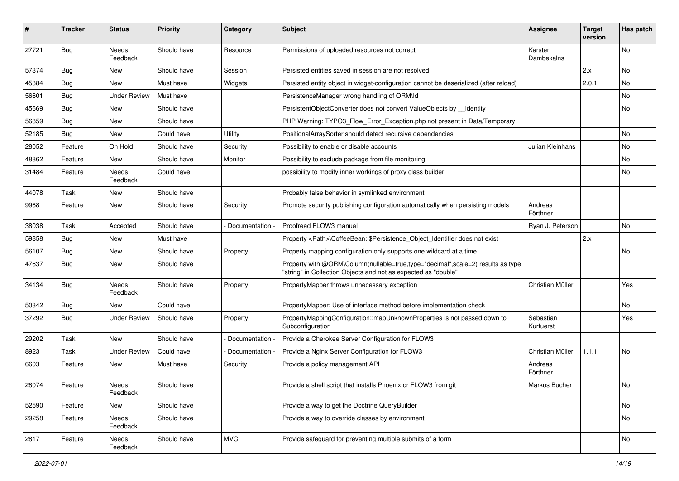| ∦     | <b>Tracker</b> | <b>Status</b>       | <b>Priority</b> | Category        | Subject                                                                                                                                           | <b>Assignee</b>        | <b>Target</b><br>version | Has patch |
|-------|----------------|---------------------|-----------------|-----------------|---------------------------------------------------------------------------------------------------------------------------------------------------|------------------------|--------------------------|-----------|
| 27721 | <b>Bug</b>     | Needs<br>Feedback   | Should have     | Resource        | Permissions of uploaded resources not correct                                                                                                     | Karsten<br>Dambekalns  |                          | No        |
| 57374 | Bug            | New                 | Should have     | Session         | Persisted entities saved in session are not resolved                                                                                              |                        | 2.x                      | No        |
| 45384 | Bug            | New                 | Must have       | Widgets         | Persisted entity object in widget-configuration cannot be deserialized (after reload)                                                             |                        | 2.0.1                    | No        |
| 56601 | <b>Bug</b>     | <b>Under Review</b> | Must have       |                 | PersistenceManager wrong handling of ORM\ld                                                                                                       |                        |                          | No.       |
| 45669 | <b>Bug</b>     | New                 | Should have     |                 | PersistentObjectConverter does not convert ValueObjects by identity                                                                               |                        |                          | No.       |
| 56859 | <b>Bug</b>     | New                 | Should have     |                 | PHP Warning: TYPO3_Flow_Error_Exception.php not present in Data/Temporary                                                                         |                        |                          |           |
| 52185 | Bug            | New                 | Could have      | Utility         | PositionalArraySorter should detect recursive dependencies                                                                                        |                        |                          | No        |
| 28052 | Feature        | On Hold             | Should have     | Security        | Possibility to enable or disable accounts                                                                                                         | Julian Kleinhans       |                          | No        |
| 48862 | Feature        | New                 | Should have     | Monitor         | Possibility to exclude package from file monitoring                                                                                               |                        |                          | No        |
| 31484 | Feature        | Needs<br>Feedback   | Could have      |                 | possibility to modify inner workings of proxy class builder                                                                                       |                        |                          | No        |
| 44078 | Task           | New                 | Should have     |                 | Probably false behavior in symlinked environment                                                                                                  |                        |                          |           |
| 9968  | Feature        | New                 | Should have     | Security        | Promote security publishing configuration automatically when persisting models                                                                    | Andreas<br>Förthner    |                          |           |
| 38038 | Task           | Accepted            | Should have     | Documentation - | Proofread FLOW3 manual                                                                                                                            | Ryan J. Peterson       |                          | No.       |
| 59858 | <b>Bug</b>     | New                 | Must have       |                 | Property <path>\CoffeeBean::\$Persistence_Object_Identifier does not exist</path>                                                                 |                        | 2.x                      |           |
| 56107 | <b>Bug</b>     | New                 | Should have     | Property        | Property mapping configuration only supports one wildcard at a time                                                                               |                        |                          | No        |
| 47637 | Bug            | New                 | Should have     |                 | Property with @ORM\Column(nullable=true,type="decimal",scale=2) results as type<br>"string" in Collection Objects and not as expected as "double" |                        |                          |           |
| 34134 | <b>Bug</b>     | Needs<br>Feedback   | Should have     | Property        | PropertyMapper throws unnecessary exception                                                                                                       | Christian Müller       |                          | Yes       |
| 50342 | <b>Bug</b>     | New                 | Could have      |                 | PropertyMapper: Use of interface method before implementation check                                                                               |                        |                          | No        |
| 37292 | <b>Bug</b>     | <b>Under Review</b> | Should have     | Property        | PropertyMappingConfiguration::mapUnknownProperties is not passed down to<br>Subconfiguration                                                      | Sebastian<br>Kurfuerst |                          | Yes       |
| 29202 | Task           | New                 | Should have     | Documentation   | Provide a Cherokee Server Configuration for FLOW3                                                                                                 |                        |                          |           |
| 8923  | Task           | <b>Under Review</b> | Could have      | Documentation - | Provide a Nginx Server Configuration for FLOW3                                                                                                    | Christian Müller       | 1.1.1                    | No        |
| 6603  | Feature        | New                 | Must have       | Security        | Provide a policy management API                                                                                                                   | Andreas<br>Förthner    |                          |           |
| 28074 | Feature        | Needs<br>Feedback   | Should have     |                 | Provide a shell script that installs Phoenix or FLOW3 from git                                                                                    | Markus Bucher          |                          | No        |
| 52590 | Feature        | New                 | Should have     |                 | Provide a way to get the Doctrine QueryBuilder                                                                                                    |                        |                          | No        |
| 29258 | Feature        | Needs<br>Feedback   | Should have     |                 | Provide a way to override classes by environment                                                                                                  |                        |                          | No        |
| 2817  | Feature        | Needs<br>Feedback   | Should have     | <b>MVC</b>      | Provide safeguard for preventing multiple submits of a form                                                                                       |                        |                          | No        |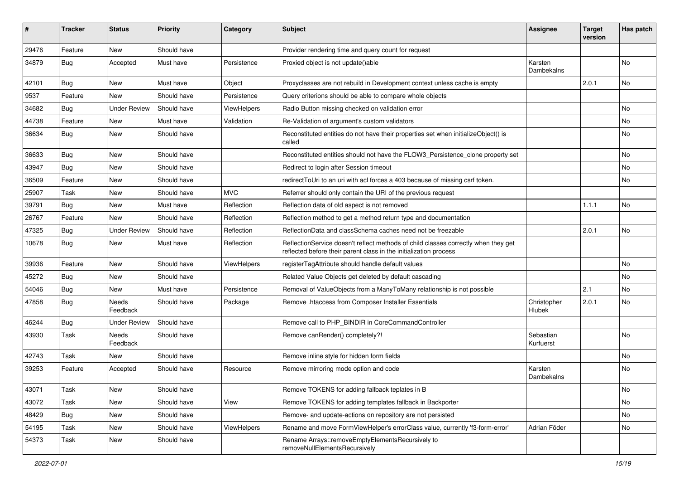| ∦     | <b>Tracker</b> | <b>Status</b>       | <b>Priority</b> | Category           | Subject                                                                                                                                                 | <b>Assignee</b>        | <b>Target</b><br>version | Has patch |
|-------|----------------|---------------------|-----------------|--------------------|---------------------------------------------------------------------------------------------------------------------------------------------------------|------------------------|--------------------------|-----------|
| 29476 | Feature        | <b>New</b>          | Should have     |                    | Provider rendering time and query count for request                                                                                                     |                        |                          |           |
| 34879 | <b>Bug</b>     | Accepted            | Must have       | Persistence        | Proxied object is not update()able                                                                                                                      | Karsten<br>Dambekalns  |                          | No        |
| 42101 | Bug            | <b>New</b>          | Must have       | Object             | Proxyclasses are not rebuild in Development context unless cache is empty                                                                               |                        | 2.0.1                    | No        |
| 9537  | Feature        | New                 | Should have     | Persistence        | Query criterions should be able to compare whole objects                                                                                                |                        |                          |           |
| 34682 | <b>Bug</b>     | Under Review        | Should have     | <b>ViewHelpers</b> | Radio Button missing checked on validation error                                                                                                        |                        |                          | <b>No</b> |
| 44738 | Feature        | New                 | Must have       | Validation         | Re-Validation of argument's custom validators                                                                                                           |                        |                          | No        |
| 36634 | <b>Bug</b>     | New                 | Should have     |                    | Reconstituted entities do not have their properties set when initializeObject() is<br>called                                                            |                        |                          | No        |
| 36633 | <b>Bug</b>     | <b>New</b>          | Should have     |                    | Reconstituted entities should not have the FLOW3_Persistence_clone property set                                                                         |                        |                          | No        |
| 43947 | <b>Bug</b>     | New                 | Should have     |                    | Redirect to login after Session timeout                                                                                                                 |                        |                          | No        |
| 36509 | Feature        | <b>New</b>          | Should have     |                    | redirectToUri to an uri with acl forces a 403 because of missing csrf token.                                                                            |                        |                          | No        |
| 25907 | Task           | New                 | Should have     | <b>MVC</b>         | Referrer should only contain the URI of the previous request                                                                                            |                        |                          |           |
| 39791 | <b>Bug</b>     | <b>New</b>          | Must have       | Reflection         | Reflection data of old aspect is not removed                                                                                                            |                        | 1.1.1                    | No        |
| 26767 | Feature        | New                 | Should have     | Reflection         | Reflection method to get a method return type and documentation                                                                                         |                        |                          |           |
| 47325 | <b>Bug</b>     | <b>Under Review</b> | Should have     | Reflection         | ReflectionData and classSchema caches need not be freezable                                                                                             |                        | 2.0.1                    | No        |
| 10678 | <b>Bug</b>     | New                 | Must have       | Reflection         | ReflectionService doesn't reflect methods of child classes correctly when they get<br>reflected before their parent class in the initialization process |                        |                          |           |
| 39936 | Feature        | New                 | Should have     | ViewHelpers        | registerTagAttribute should handle default values                                                                                                       |                        |                          | No        |
| 45272 | <b>Bug</b>     | New                 | Should have     |                    | Related Value Objects get deleted by default cascading                                                                                                  |                        |                          | No        |
| 54046 | Bug            | New                 | Must have       | Persistence        | Removal of ValueObjects from a ManyToMany relationship is not possible                                                                                  |                        | 2.1                      | No        |
| 47858 | <b>Bug</b>     | Needs<br>Feedback   | Should have     | Package            | Remove .htaccess from Composer Installer Essentials                                                                                                     | Christopher<br>Hlubek  | 2.0.1                    | No        |
| 46244 | <b>Bug</b>     | <b>Under Review</b> | Should have     |                    | Remove call to PHP_BINDIR in CoreCommandController                                                                                                      |                        |                          |           |
| 43930 | Task           | Needs<br>Feedback   | Should have     |                    | Remove canRender() completely?!                                                                                                                         | Sebastian<br>Kurfuerst |                          | No        |
| 42743 | Task           | New                 | Should have     |                    | Remove inline style for hidden form fields                                                                                                              |                        |                          | No        |
| 39253 | Feature        | Accepted            | Should have     | Resource           | Remove mirroring mode option and code                                                                                                                   | Karsten<br>Dambekalns  |                          | No        |
| 43071 | Task           | New                 | Should have     |                    | Remove TOKENS for adding fallback teplates in B                                                                                                         |                        |                          | No        |
| 43072 | Task           | New                 | Should have     | View               | Remove TOKENS for adding templates fallback in Backporter                                                                                               |                        |                          | No        |
| 48429 | Bug            | New                 | Should have     |                    | Remove- and update-actions on repository are not persisted                                                                                              |                        |                          | No        |
| 54195 | Task           | New                 | Should have     | <b>ViewHelpers</b> | Rename and move FormViewHelper's errorClass value, currently 'f3-form-error'                                                                            | Adrian Föder           |                          | No        |
| 54373 | Task           | New                 | Should have     |                    | Rename Arrays::removeEmptyElementsRecursively to<br>removeNullElementsRecursively                                                                       |                        |                          |           |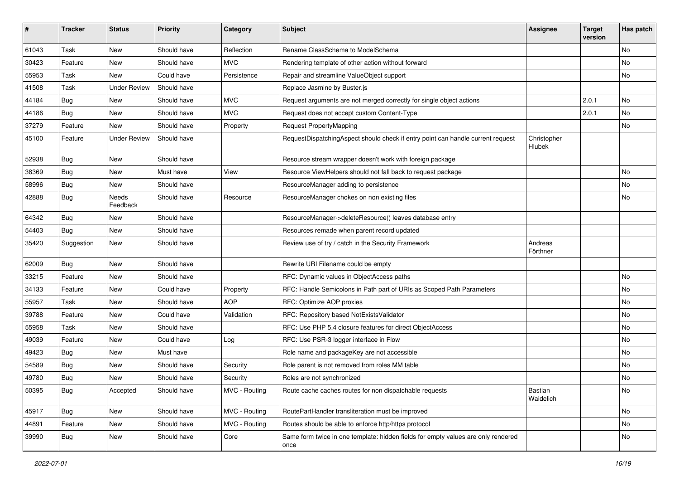| ∦     | <b>Tracker</b> | <b>Status</b>       | <b>Priority</b> | Category      | Subject                                                                                   | <b>Assignee</b>       | <b>Target</b><br>version | Has patch |
|-------|----------------|---------------------|-----------------|---------------|-------------------------------------------------------------------------------------------|-----------------------|--------------------------|-----------|
| 61043 | <b>Task</b>    | New                 | Should have     | Reflection    | Rename ClassSchema to ModelSchema                                                         |                       |                          | <b>No</b> |
| 30423 | Feature        | New                 | Should have     | <b>MVC</b>    | Rendering template of other action without forward                                        |                       |                          | No        |
| 55953 | Task           | New                 | Could have      | Persistence   | Repair and streamline ValueObject support                                                 |                       |                          | No        |
| 41508 | <b>Task</b>    | <b>Under Review</b> | Should have     |               | Replace Jasmine by Buster.js                                                              |                       |                          |           |
| 44184 | Bug            | New                 | Should have     | <b>MVC</b>    | Request arguments are not merged correctly for single object actions                      |                       | 2.0.1                    | No        |
| 44186 | Bug            | New                 | Should have     | <b>MVC</b>    | Request does not accept custom Content-Type                                               |                       | 2.0.1                    | <b>No</b> |
| 37279 | Feature        | New                 | Should have     | Property      | Request PropertyMapping                                                                   |                       |                          | No        |
| 45100 | Feature        | <b>Under Review</b> | Should have     |               | RequestDispatchingAspect should check if entry point can handle current request           | Christopher<br>Hlubek |                          |           |
| 52938 | Bug            | New                 | Should have     |               | Resource stream wrapper doesn't work with foreign package                                 |                       |                          |           |
| 38369 | Bug            | New                 | Must have       | View          | Resource ViewHelpers should not fall back to request package                              |                       |                          | <b>No</b> |
| 58996 | Bug            | New                 | Should have     |               | ResourceManager adding to persistence                                                     |                       |                          | No        |
| 42888 | <b>Bug</b>     | Needs<br>Feedback   | Should have     | Resource      | ResourceManager chokes on non existing files                                              |                       |                          | No        |
| 64342 | <b>Bug</b>     | New                 | Should have     |               | ResourceManager->deleteResource() leaves database entry                                   |                       |                          |           |
| 54403 | <b>Bug</b>     | New                 | Should have     |               | Resources remade when parent record updated                                               |                       |                          |           |
| 35420 | Suggestion     | New                 | Should have     |               | Review use of try / catch in the Security Framework                                       | Andreas<br>Förthner   |                          |           |
| 62009 | Bug            | New                 | Should have     |               | Rewrite URI Filename could be empty                                                       |                       |                          |           |
| 33215 | Feature        | New                 | Should have     |               | RFC: Dynamic values in ObjectAccess paths                                                 |                       |                          | <b>No</b> |
| 34133 | Feature        | New                 | Could have      | Property      | RFC: Handle Semicolons in Path part of URIs as Scoped Path Parameters                     |                       |                          | No        |
| 55957 | Task           | New                 | Should have     | <b>AOP</b>    | RFC: Optimize AOP proxies                                                                 |                       |                          | <b>No</b> |
| 39788 | Feature        | New                 | Could have      | Validation    | RFC: Repository based NotExistsValidator                                                  |                       |                          | No        |
| 55958 | Task           | New                 | Should have     |               | RFC: Use PHP 5.4 closure features for direct ObjectAccess                                 |                       |                          | <b>No</b> |
| 49039 | Feature        | New                 | Could have      | Log           | RFC: Use PSR-3 logger interface in Flow                                                   |                       |                          | <b>No</b> |
| 49423 | <b>Bug</b>     | New                 | Must have       |               | Role name and packageKey are not accessible                                               |                       |                          | No        |
| 54589 | <b>Bug</b>     | New                 | Should have     | Security      | Role parent is not removed from roles MM table                                            |                       |                          | <b>No</b> |
| 49780 | <b>Bug</b>     | New                 | Should have     | Security      | Roles are not synchronized                                                                |                       |                          | No        |
| 50395 | <b>Bug</b>     | Accepted            | Should have     | MVC - Routing | Route cache caches routes for non dispatchable requests                                   | Bastian<br>Waidelich  |                          | No        |
| 45917 | Bug            | New                 | Should have     | MVC - Routing | RoutePartHandler transliteration must be improved                                         |                       |                          | No        |
| 44891 | Feature        | New                 | Should have     | MVC - Routing | Routes should be able to enforce http/https protocol                                      |                       |                          | No        |
| 39990 | <b>Bug</b>     | New                 | Should have     | Core          | Same form twice in one template: hidden fields for empty values are only rendered<br>once |                       |                          | No        |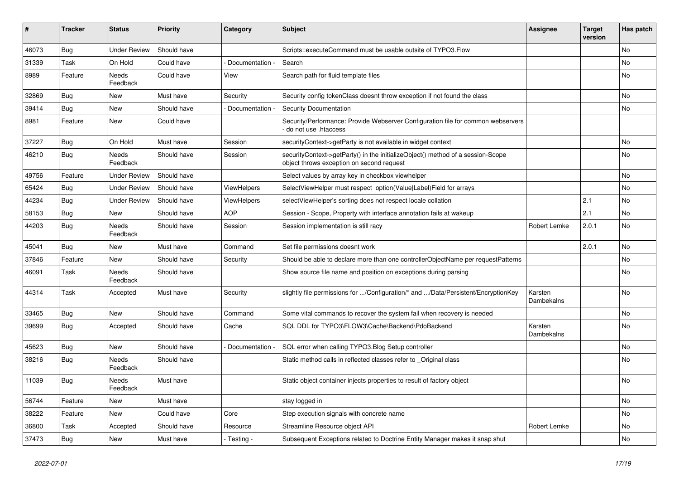| $\#$  | <b>Tracker</b> | <b>Status</b>       | <b>Priority</b> | Category           | <b>Subject</b>                                                                                                               | Assignee              | <b>Target</b><br>version | Has patch      |
|-------|----------------|---------------------|-----------------|--------------------|------------------------------------------------------------------------------------------------------------------------------|-----------------------|--------------------------|----------------|
| 46073 | Bug            | <b>Under Review</b> | Should have     |                    | Scripts::executeCommand must be usable outsite of TYPO3.Flow                                                                 |                       |                          | N <sub>o</sub> |
| 31339 | Task           | On Hold             | Could have      | Documentation -    | Search                                                                                                                       |                       |                          | No             |
| 8989  | Feature        | Needs<br>Feedback   | Could have      | View               | Search path for fluid template files                                                                                         |                       |                          | No             |
| 32869 | Bug            | New                 | Must have       | Security           | Security config tokenClass doesnt throw exception if not found the class                                                     |                       |                          | No             |
| 39414 | Bug            | New                 | Should have     | Documentation -    | <b>Security Documentation</b>                                                                                                |                       |                          | No             |
| 8981  | Feature        | New                 | Could have      |                    | Security/Performance: Provide Webserver Configuration file for common webservers<br>do not use .htaccess                     |                       |                          |                |
| 37227 | <b>Bug</b>     | On Hold             | Must have       | Session            | securityContext->getParty is not available in widget context                                                                 |                       |                          | No             |
| 46210 | <b>Bug</b>     | Needs<br>Feedback   | Should have     | Session            | securityContext->getParty() in the initializeObject() method of a session-Scope<br>object throws exception on second request |                       |                          | No             |
| 49756 | Feature        | Under Review        | Should have     |                    | Select values by array key in checkbox viewhelper                                                                            |                       |                          | No             |
| 65424 | Bug            | <b>Under Review</b> | Should have     | <b>ViewHelpers</b> | SelectViewHelper must respect option(Value Label)Field for arrays                                                            |                       |                          | No.            |
| 44234 | Bug            | <b>Under Review</b> | Should have     | <b>ViewHelpers</b> | selectViewHelper's sorting does not respect locale collation                                                                 |                       | 2.1                      | No             |
| 58153 | Bug            | New                 | Should have     | <b>AOP</b>         | Session - Scope, Property with interface annotation fails at wakeup                                                          |                       | 2.1                      | No.            |
| 44203 | Bug            | Needs<br>Feedback   | Should have     | Session            | Session implementation is still racy                                                                                         | Robert Lemke          | 2.0.1                    | No             |
| 45041 | <b>Bug</b>     | New                 | Must have       | Command            | Set file permissions doesnt work                                                                                             |                       | 2.0.1                    | No             |
| 37846 | Feature        | New                 | Should have     | Security           | Should be able to declare more than one controllerObjectName per requestPatterns                                             |                       |                          | No             |
| 46091 | Task           | Needs<br>Feedback   | Should have     |                    | Show source file name and position on exceptions during parsing                                                              |                       |                          | No             |
| 44314 | Task           | Accepted            | Must have       | Security           | slightly file permissions for /Configuration/* and /Data/Persistent/EncryptionKey                                            | Karsten<br>Dambekalns |                          | No             |
| 33465 | <b>Bug</b>     | New                 | Should have     | Command            | Some vital commands to recover the system fail when recovery is needed                                                       |                       |                          | No             |
| 39699 | Bug            | Accepted            | Should have     | Cache              | SQL DDL for TYPO3\FLOW3\Cache\Backend\PdoBackend                                                                             | Karsten<br>Dambekalns |                          | No.            |
| 45623 | Bug            | New                 | Should have     | Documentation      | SQL error when calling TYPO3. Blog Setup controller                                                                          |                       |                          | No             |
| 38216 | Bug            | Needs<br>Feedback   | Should have     |                    | Static method calls in reflected classes refer to Original class                                                             |                       |                          | No             |
| 11039 | Bug            | Needs<br>Feedback   | Must have       |                    | Static object container injects properties to result of factory object                                                       |                       |                          | <b>No</b>      |
| 56744 | Feature        | New                 | Must have       |                    | stay logged in                                                                                                               |                       |                          | No             |
| 38222 | Feature        | New                 | Could have      | Core               | Step execution signals with concrete name                                                                                    |                       |                          | No             |
| 36800 | Task           | Accepted            | Should have     | Resource           | Streamline Resource object API                                                                                               | Robert Lemke          |                          | No             |
| 37473 | <b>Bug</b>     | New                 | Must have       | - Testing -        | Subsequent Exceptions related to Doctrine Entity Manager makes it snap shut                                                  |                       |                          | No             |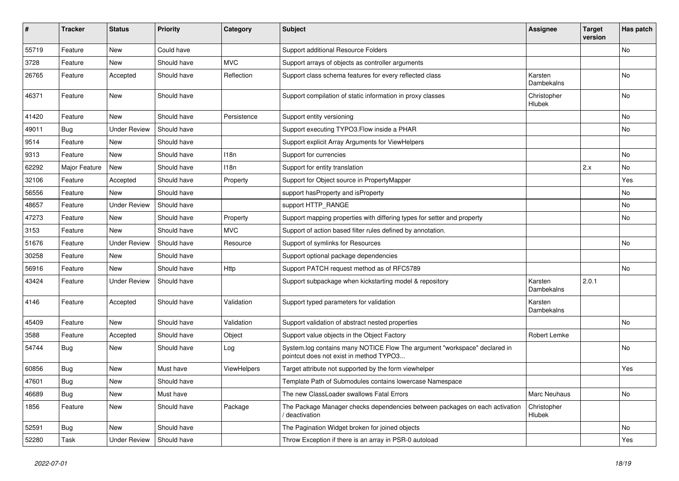| ∦     | <b>Tracker</b> | <b>Status</b>       | <b>Priority</b> | Category           | Subject                                                                                                              | <b>Assignee</b>       | <b>Target</b><br>version | Has patch |
|-------|----------------|---------------------|-----------------|--------------------|----------------------------------------------------------------------------------------------------------------------|-----------------------|--------------------------|-----------|
| 55719 | Feature        | New                 | Could have      |                    | Support additional Resource Folders                                                                                  |                       |                          | No        |
| 3728  | Feature        | New                 | Should have     | MVC                | Support arrays of objects as controller arguments                                                                    |                       |                          |           |
| 26765 | Feature        | Accepted            | Should have     | Reflection         | Support class schema features for every reflected class                                                              | Karsten<br>Dambekalns |                          | No        |
| 46371 | Feature        | New                 | Should have     |                    | Support compilation of static information in proxy classes                                                           | Christopher<br>Hlubek |                          | No        |
| 41420 | Feature        | New                 | Should have     | Persistence        | Support entity versioning                                                                                            |                       |                          | No        |
| 49011 | <b>Bug</b>     | <b>Under Review</b> | Should have     |                    | Support executing TYPO3. Flow inside a PHAR                                                                          |                       |                          | No        |
| 9514  | Feature        | New                 | Should have     |                    | Support explicit Array Arguments for ViewHelpers                                                                     |                       |                          |           |
| 9313  | Feature        | New                 | Should have     | 118n               | Support for currencies                                                                                               |                       |                          | No        |
| 62292 | Major Feature  | New                 | Should have     | 118n               | Support for entity translation                                                                                       |                       | 2.x                      | No        |
| 32106 | Feature        | Accepted            | Should have     | Property           | Support for Object source in PropertyMapper                                                                          |                       |                          | Yes       |
| 56556 | Feature        | <b>New</b>          | Should have     |                    | support has Property and is Property                                                                                 |                       |                          | No        |
| 48657 | Feature        | Under Review        | Should have     |                    | support HTTP_RANGE                                                                                                   |                       |                          | No        |
| 47273 | Feature        | New                 | Should have     | Property           | Support mapping properties with differing types for setter and property                                              |                       |                          | No        |
| 3153  | Feature        | New                 | Should have     | <b>MVC</b>         | Support of action based filter rules defined by annotation.                                                          |                       |                          |           |
| 51676 | Feature        | <b>Under Review</b> | Should have     | Resource           | Support of symlinks for Resources                                                                                    |                       |                          | No        |
| 30258 | Feature        | New                 | Should have     |                    | Support optional package dependencies                                                                                |                       |                          |           |
| 56916 | Feature        | New                 | Should have     | Http               | Support PATCH request method as of RFC5789                                                                           |                       |                          | No        |
| 43424 | Feature        | <b>Under Review</b> | Should have     |                    | Support subpackage when kickstarting model & repository                                                              | Karsten<br>Dambekalns | 2.0.1                    |           |
| 4146  | Feature        | Accepted            | Should have     | Validation         | Support typed parameters for validation                                                                              | Karsten<br>Dambekalns |                          |           |
| 45409 | Feature        | New                 | Should have     | Validation         | Support validation of abstract nested properties                                                                     |                       |                          | No        |
| 3588  | Feature        | Accepted            | Should have     | Object             | Support value objects in the Object Factory                                                                          | Robert Lemke          |                          |           |
| 54744 | <b>Bug</b>     | New                 | Should have     | Log                | System.log contains many NOTICE Flow The argument "workspace" declared in<br>pointcut does not exist in method TYPO3 |                       |                          | No        |
| 60856 | <b>Bug</b>     | New                 | Must have       | <b>ViewHelpers</b> | Target attribute not supported by the form viewhelper                                                                |                       |                          | Yes       |
| 47601 | <b>Bug</b>     | New                 | Should have     |                    | Template Path of Submodules contains lowercase Namespace                                                             |                       |                          |           |
| 46689 | <b>Bug</b>     | New                 | Must have       |                    | The new ClassLoader swallows Fatal Errors                                                                            | Marc Neuhaus          |                          | No        |
| 1856  | Feature        | New                 | Should have     | Package            | The Package Manager checks dependencies between packages on each activation<br>deactivation                          | Christopher<br>Hlubek |                          |           |
| 52591 | <b>Bug</b>     | New                 | Should have     |                    | The Pagination Widget broken for joined objects                                                                      |                       |                          | No        |
| 52280 | Task           | <b>Under Review</b> | Should have     |                    | Throw Exception if there is an array in PSR-0 autoload                                                               |                       |                          | Yes       |